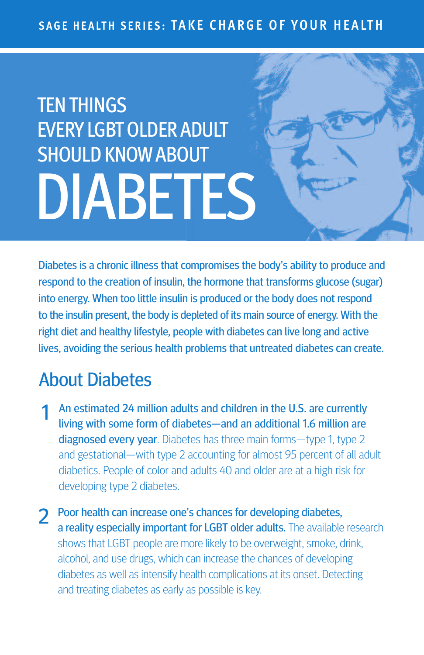#### SAGE HEALTH SERIES: TAKE CHARGE OF YOUR HEALTH

# **TENTHINGS EVERY LGBT OLDER ADULT** SHOULD KNOWABOUT DIABETES

Diabetes is a chronic illness that compromises the body's ability to produce and respond to the creation of insulin, the hormone that transforms glucose (sugar) into energy. When too little insulin is produced or the body does not respond to the insulin present, the body is depleted of its main source of energy. With the right diet and healthy lifestyle, people with diabetes can live long and active lives, avoiding the serious health problems that untreated diabetes can create.

## About Diabetes

- An estimated 24 million adults and children in the U.S. are currently living with some form of diabetes—and an additional 1.6 million are diagnosed every year. Diabetes has three main forms-type 1, type 2 and gestational—with type 2 accounting for almost 95 percent of all adult diabetics. People of color and adults 40 and older are at a high risk for developing type 2 diabetes.
- 2 Poor health can increase one's chances for developing diabetes, a reality especially important for LGBT older adults. The available research shows that LGBT people are more likely to be overweight, smoke, drink, alcohol, and use drugs, which can increase the chances of developing diabetes as well as intensify health complications at its onset. Detecting and treating diabetes as early as possible is key.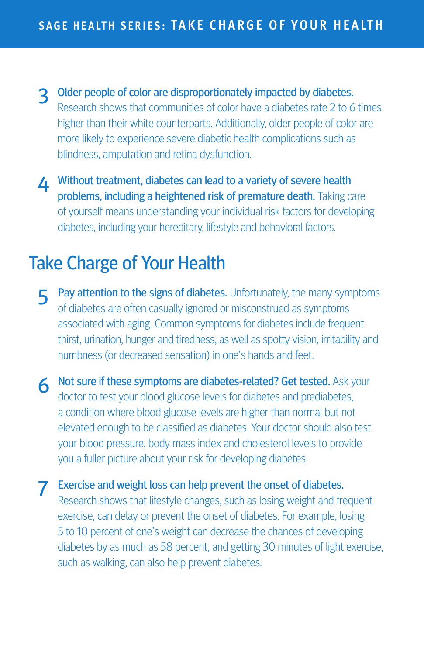- 3 Older people of color are disproportionately impacted by diabetes. Research shows that communities of color have a diabetes rate 2 to 6 times higher than their white counterparts. Additionally, older people of color are more likely to experience severe diabetic health complications such as blindness, amputation and retina dysfunction.
- **4** Without treatment, diabetes can lead to a variety of severe health problems, including a heightened risk of premature death. Taking care of yourself means understanding your individual risk factors for developing diabetes, including your hereditary, lifestyle and behavioral factors.

## Take Charge of Your Health

- 5 Pay attention to the signs of diabetes. Unfortunately, the many symptoms of diabetes are often casually ignored or misconstrued as symptoms associated with aging. Common symptoms for diabetes include frequent thirst, urination, hunger and tiredness, as well as spotty vision, irritability and numbness (or decreased sensation) in one's hands and feet.
- 6 Not sure if these symptoms are diabetes-related? Get tested. Ask your doctor to test your blood glucose levels for diabetes and prediabetes, a condition where blood glucose levels are higher than normal but not elevated enough to be classified as diabetes. Your doctor should also test your blood pressure, body mass index and cholesterol levels to provide you a fuller picture about your risk for developing diabetes.
- 7 Exercise and weight loss can help prevent the onset of diabetes. Research shows that lifestyle changes, such as losing weight and frequent exercise, can delay or prevent the onset of diabetes. For example, losing 5 to 10 percent of one's weight can decrease the chances of developing diabetes by as much as 58 percent, and getting 30 minutes of light exercise, such as walking, can also help prevent diabetes.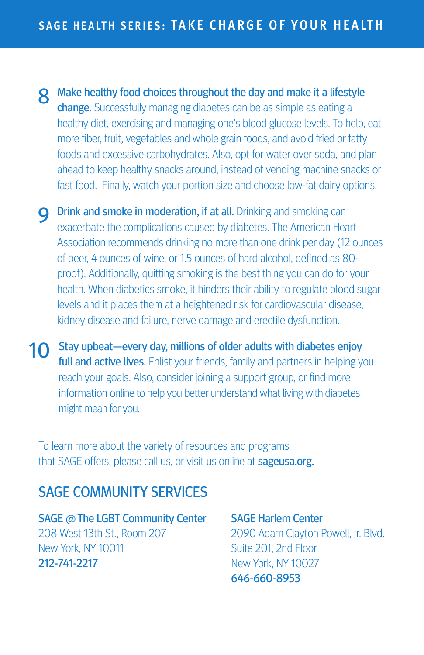8 Make healthy food choices throughout the day and make it a lifestyle change. Successfully managing diabetes can be as simple as eating a healthy diet, exercising and managing one's blood glucose levels. To help, eat more fiber, fruit, vegetables and whole grain foods, and avoid fried or fatty foods and excessive carbohydrates. Also, opt for water over soda, and plan ahead to keep healthy snacks around, instead of vending machine snacks or fast food. Finally, watch your portion size and choose low-fat dairy options.

**Q** Drink and smoke in moderation, if at all. Drinking and smoking can exacerbate the complications caused by diabetes. The American Heart Association recommends drinking no more than one drink per day (12 ounces of beer, 4 ounces of wine, or 1.5 ounces of hard alcohol, defined as 80 proof). Additionally, quitting smoking is the best thing you can do for your health. When diabetics smoke, it hinders their ability to regulate blood sugar levels and it places them at a heightened risk for cardiovascular disease, kidney disease and failure, nerve damage and erectile dysfunction.

10 Stay upbeat—every day, millions of older adults with diabetes enjoy full and active lives. Enlist your friends, family and partners in helping you reach your goals. Also, consider joining a support group, or find more information online to help you better understand what living with diabetes might mean for you.

To learn more about the variety of resources and programs that SAGE offers, please call us, or visit us online at sageusa.org.

#### SAGE COMMUNITY SERVICES

SAGE @ The LGBT Community Center 208 West 13th St., Room 207 New York, NY 10011 212-741-2217

SAGE Harlem Center 2090 Adam Clayton Powell, Jr. Blvd. Suite 201, 2nd Floor New York, NY 10027 646-660-8953